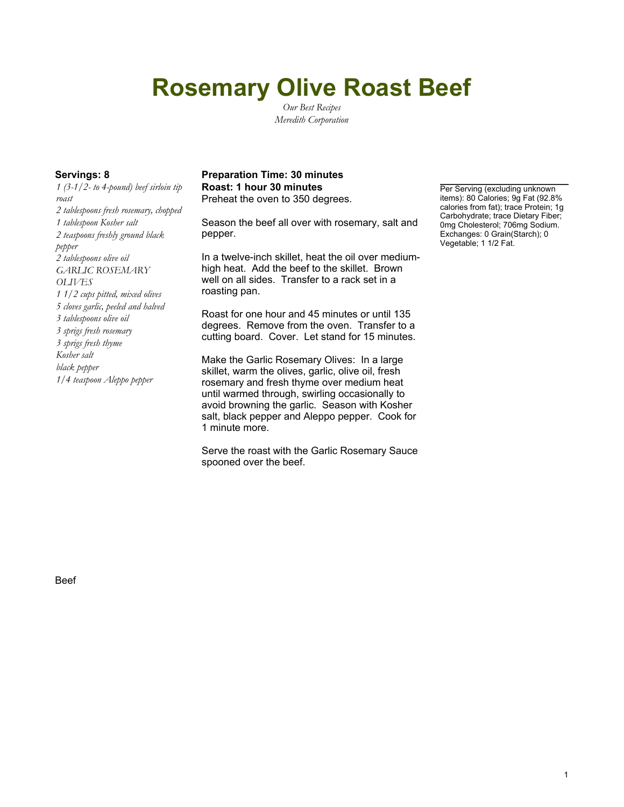# **Rosemary Olive Roast Beef**

*Our Best Recipes Meredith Corporation*

*1 (3-1/2- to 4-pound) beef sirloin tip roast 2 tablespoons fresh rosemary, chopped 1 tablespoon Kosher salt 2 teaspoons freshly ground black pepper 2 tablespoons olive oil GARLIC ROSEMARY OLIVES 1 1/2 cups pitted, mixed olives 5 cloves garlic, peeled and halved 3 tablespoons olive oil 3 sprigs fresh rosemary 3 sprigs fresh thyme Kosher salt black pepper 1/4 teaspoon Aleppo pepper*

#### **Servings: 8 Preparation Time: 30 minutes Roast: 1 hour 30 minutes Per Serving (excluding unknown**) Preheat the oven to 350 degrees.

Season the beef all over with rosemary, salt and pepper.

In a twelve-inch skillet, heat the oil over mediumhigh heat. Add the beef to the skillet. Brown well on all sides. Transfer to a rack set in a roasting pan.

Roast for one hour and 45 minutes or until 135 degrees. Remove from the oven. Transfer to a cutting board. Cover. Let stand for 15 minutes.

Make the Garlic Rosemary Olives: In a large skillet, warm the olives, garlic, olive oil, fresh rosemary and fresh thyme over medium heat until warmed through, swirling occasionally to avoid browning the garlic. Season with Kosher salt, black pepper and Aleppo pepper. Cook for 1 minute more.

Serve the roast with the Garlic Rosemary Sauce spooned over the beef.

items): 80 Calories; 9g Fat (92.8% calories from fat); trace Protein; 1g Carbohydrate; trace Dietary Fiber; 0mg Cholesterol; 706mg Sodium. Exchanges: 0 Grain(Starch); 0 Vegetable; 1 1/2 Fat.